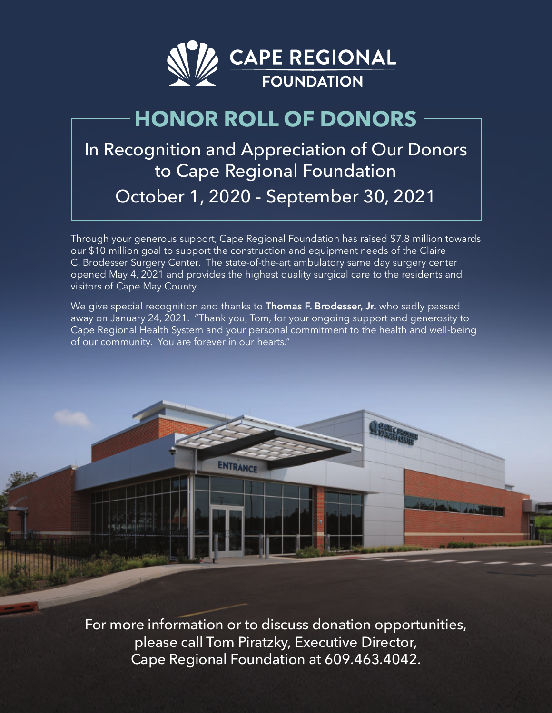

# **HONOR ROLL OF DONORS**

# In Recognition and Appreciation of Our Donors to Cape Regional Foundation October 1, 2020 - September 30, 2021

Through your generous support, Cape Regional Foundation has raised \$7.8 million towards our \$10 million goal to support the construction and equipment needs of the Claire C. Brodesser Surgery Center. The state-of-the-art ambulatory same day surgery center opened May 4, 2021 and provides the highest quality surgical care to the residents and visitors of Cape May County.

We give special recognition and thanks to **Thomas F. Brodesser, Jr.** who sadly passed away on January 24, 2021. "Thank you, Tom, for your ongoing support and generosity to Cape Regional Health System and your personal commitment to the health and well-being of our community. You are forever in our hearts."

ENTRANCE

**Lagre** 

For more information or to discuss donation opportunities, please call Tom Piratzky, Executive Director, Cape Regional Foundation at 609.463.4042.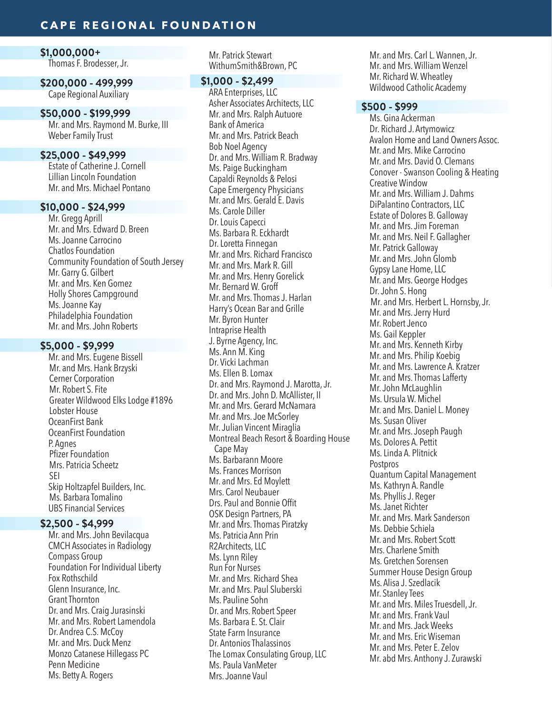## **CAPE REGIONAL FOUNDATION**

#### **\$1,000,000+** Thomas F. Brodesser, Jr.

**\$200,000 - 499,999** Cape Regional Auxiliary

#### **\$50,000 - \$199,999**

Mr. and Mrs. Raymond M. Burke, III Weber Family Trust

## **\$25,000 - \$49,999**

Estate of Catherine J. Cornell Lillian Lincoln Foundation Mr. and Mrs. Michael Pontano

### **\$10,000 - \$24,999**

Mr. Gregg Aprill Mr. and Mrs. Edward D. Breen Ms. Joanne Carrocino Chatlos Foundation Community Foundation of South Jersey Mr. Garry G. Gilbert Mr. and Mrs. Ken Gomez Holly Shores Campground Ms. Joanne Kay Philadelphia Foundation Mr. and Mrs. John Roberts

#### **\$5,000 - \$9,999**

Mr. and Mrs. Eugene Bissell Mr. and Mrs. Hank Brzyski Cerner Corporation Mr. Robert S. Fite Greater Wildwood Elks Lodge #1896 Lobster House OceanFirst Bank OceanFirst Foundation P. Agnes Pfizer Foundation Mrs. Patricia Scheetz SEI Skip Holtzapfel Builders, Inc. Ms. Barbara Tomalino UBS Financial Services

#### **\$2,500 - \$4,999**

Mr. and Mrs. John Bevilacqua CMCH Associates in Radiology Compass Group Foundation For Individual Liberty Fox Rothschild Glenn Insurance, Inc. Grant Thornton Dr. and Mrs. Craig Jurasinski Mr. and Mrs. Robert Lamendola Dr. Andrea C.S. McCoy Mr. and Mrs. Duck Menz Monzo Catanese Hillegass PC Penn Medicine Ms. Betty A. Rogers

Mr. Patrick Stewart WithumSmith&Brown, PC

#### **\$1,000 - \$2,499**

ARA Enterprises, LLC Asher Associates Architects, LLC Mr. and Mrs. Ralph Autuore Bank of America Mr. and Mrs. Patrick Beach Bob Noel Agency Dr. and Mrs. William R. Bradway Ms. Paige Buckingham Capaldi Reynolds & Pelosi Cape Emergency Physicians Mr. and Mrs. Gerald E. Davis Ms. Carole Diller Dr. Louis Capecci Ms. Barbara R. Eckhardt Dr. Loretta Finnegan Mr. and Mrs. Richard Francisco Mr. and Mrs. Mark R. Gill Mr. and Mrs. Henry Gorelick Mr. Bernard W. Groff Mr. and Mrs. Thomas J. Harlan Harry's Ocean Bar and Grille Mr. Byron Hunter Intraprise Health J. Byrne Agency, Inc. Ms. Ann M. King Dr. Vicki Lachman Ms. Ellen B. Lomax Dr. and Mrs. Raymond J. Marotta, Jr. Dr. and Mrs. John D. McAllister, II Mr. and Mrs. Gerard McNamara Mr. and Mrs. Joe McSorley Mr. Julian Vincent Miraglia Montreal Beach Resort & Boarding House Cape May Ms. Barbarann Moore Ms. Frances Morrison Mr. and Mrs. Ed Moylett Mrs. Carol Neubauer Drs. Paul and Bonnie Offit OSK Design Partners, PA Mr. and Mrs. Thomas Piratzky Ms. Patricia Ann Prin R2Architects, LLC Ms. Lynn Riley Run For Nurses Mr. and Mrs. Richard Shea Mr. and Mrs. Paul Sluberski Ms. Pauline Sohn Dr. and Mrs. Robert Speer Ms. Barbara E. St. Clair State Farm Insurance Dr. Antonios Thalassinos The Lomax Consulating Group, LLC Ms. Paula VanMeter Mrs. Joanne Vaul

Mr. and Mrs. Carl L. Wannen, Jr. Mr. and Mrs. William Wenzel Mr. Richard W. Wheatley Wildwood Catholic Academy

#### **\$500 - \$999**

Ms. Gina Ackerman Dr. Richard J. Artymowicz Avalon Home and Land Owners Assoc. Mr. and Mrs. Mike Carrocino Mr. and Mrs. David O. Clemans Conover - Swanson Cooling & Heating Creative Window Mr. and Mrs. William J. Dahms DiPalantino Contractors, LLC Estate of Dolores B. Galloway Mr. and Mrs. Jim Foreman Mr. and Mrs. Neil F. Gallagher Mr. Patrick Galloway Mr. and Mrs. John Glomb Gypsy Lane Home, LLC Mr. and Mrs. George Hodges Dr. John S. Hong Mr. and Mrs. Herbert L. Hornsby, Jr. Mr. and Mrs. Jerry Hurd Mr. Robert Jenco Ms. Gail Keppler Mr. and Mrs. Kenneth Kirby Mr. and Mrs. Philip Koebig Mr. and Mrs. Lawrence A. Kratzer Mr. and Mrs. Thomas Lafferty Mr. John McLaughlin Ms. Ursula W. Michel Mr. and Mrs. Daniel L. Money Ms. Susan Oliver Mr. and Mrs. Joseph Paugh Ms. Dolores A. Pettit Ms. Linda A. Plitnick Postpros Quantum Capital Management Ms. Kathryn A. Randle Ms. Phyllis J. Reger Ms. Janet Richter Mr. and Mrs. Mark Sanderson Ms. Debbie Schiela Mr. and Mrs. Robert Scott Mrs. Charlene Smith Ms. Gretchen Sorensen Summer House Design Group Ms. Alisa J. Szedlacik Mr. Stanley Tees Mr. and Mrs. Miles Truesdell, Jr. Mr. and Mrs. Frank Vaul Mr. and Mrs. Jack Weeks Mr. and Mrs. Eric Wiseman Mr. and Mrs. Peter E. Zelov Mr. abd Mrs. Anthony J. Zurawski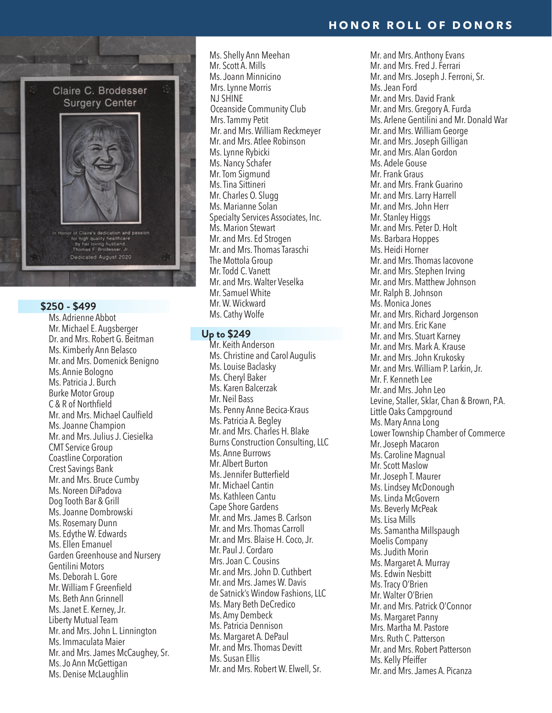

## **\$250 - \$499**

Ms. Adrienne Abbot Mr. Michael E. Augsberger Dr. and Mrs. Robert G. Beitman Ms. Kimberly Ann Belasco Mr. and Mrs. Domenick Benigno Ms. Annie Bologno Ms. Patricia J. Burch Burke Motor Group C & R of Northfield Mr. and Mrs. Michael Caulfield Ms. Joanne Champion Mr. and Mrs. Julius J. Ciesielka CMT Service Group Coastline Corporation Crest Savings Bank Mr. and Mrs. Bruce Cumby Ms. Noreen DiPadova Dog Tooth Bar & Grill Ms. Joanne Dombrowski Ms. Rosemary Dunn Ms. Edythe W. Edwards Ms. Ellen Emanuel Garden Greenhouse and Nursery Gentilini Motors Ms. Deborah L. Gore Mr.William F Greenfield Ms. Beth Ann Grinnell Ms. Janet E. Kerney, Jr. Liberty Mutual Team Mr. and Mrs. John L. Linnington Ms. Immaculata Maier Mr. and Mrs. James McCaughey, Sr. Ms. Jo Ann McGettigan Ms. Denise McLaughlin

Ms. Shelly Ann Meehan Mr. Scott A. Mills Ms. Joann Minnicino Mrs. Lynne Morris NJ SHINE Oceanside Community Club Mrs. Tammy Petit Mr. and Mrs. William Reckmeyer Mr. and Mrs. Atlee Robinson Ms. Lynne Rybicki Ms. Nancy Schafer Mr. Tom Sigmund Ms. Tina Sittineri Mr. Charles O. Slugg Ms. Marianne Solan Specialty Services Associates, Inc. Ms. Marion Stewart Mr. and Mrs. Ed Strogen Mr. and Mrs. Thomas Taraschi The Mottola Group Mr. Todd C. Vanett Mr. and Mrs. Walter Veselka Mr. Samuel White Mr. W. Wickward Ms. Cathy Wolfe

#### **Up to \$249**

Mr. Keith Anderson Ms. Christine and Carol Augulis Ms. Louise Baclasky Ms. Cheryl Baker Ms. Karen Balcerzak Mr. Neil Bass Ms. Penny Anne Becica-Kraus Ms. Patricia A. Begley Mr. and Mrs. Charles H. Blake Burns Construction Consulting, LLC Ms. Anne Burrows Mr. Albert Burton Ms.Jennifer Butterfield Mr. Michael Cantin Ms. Kathleen Cantu Cape Shore Gardens Mr. and Mrs. James B. Carlson Mr. and Mrs. Thomas Carroll Mr. and Mrs. Blaise H. Coco, Jr. Mr. Paul J. Cordaro Mrs. Joan C. Cousins Mr. and Mrs. John D. Cuthbert Mr. and Mrs. James W. Davis de Satnick's Window Fashions, LLC Ms. Mary Beth DeCredico Ms. Amy Dembeck Ms. Patricia Dennison Ms. Margaret A. DePaul Mr. and Mrs. Thomas Devitt Ms. Susan Ellis Mr. and Mrs. Robert W. Elwell, Sr.

Mr. and Mrs. Anthony Evans Mr. and Mrs. Fred J. Ferrari Mr. and Mrs. Joseph J. Ferroni, Sr. Ms. Jean Ford Mr. and Mrs. David Frank Mr. and Mrs. Gregory A. Furda Ms. Arlene Gentilini and Mr. Donald War Mr. and Mrs. William George Mr. and Mrs. Joseph Gilligan Mr. and Mrs. Alan Gordon Ms. Adele Gouse Mr. Frank Graus Mr. and Mrs. Frank Guarino Mr. and Mrs. Larry Harrell Mr. and Mrs. John Herr Mr. Stanley Higgs Mr. and Mrs. Peter D. Holt Ms. Barbara Hoppes Ms. Heidi Horner Mr. and Mrs. Thomas Iacovone Mr. and Mrs. Stephen Irving Mr. and Mrs. Matthew Johnson Mr. Ralph B. Johnson Ms. Monica Jones Mr. and Mrs. Richard Jorgenson Mr. and Mrs. Eric Kane Mr. and Mrs. Stuart Karney Mr. and Mrs. Mark A. Krause Mr. and Mrs. John Krukosky Mr. and Mrs. William P. Larkin, Jr. Mr. F. Kenneth Lee Mr. and Mrs. John Leo Levine, Staller, Sklar, Chan & Brown, P.A. Little Oaks Campground Ms. Mary Anna Long Lower Township Chamber of Commerce Mr. Joseph Macaron Ms. Caroline Magnual Mr. Scott Maslow Mr. Joseph T. Maurer Ms. Lindsey McDonough Ms. Linda McGovern Ms. Beverly McPeak Ms. Lisa Mills Ms. Samantha Millspaugh Moelis Company Ms. Judith Morin Ms. Margaret A. Murray Ms. Edwin Nesbitt Ms. Tracy O'Brien Mr. Walter O'Brien Mr. and Mrs. Patrick O'Connor Ms. Margaret Panny Mrs. Martha M. Pastore Mrs. Ruth C. Patterson Mr. and Mrs. Robert Patterson Ms. Kelly Pfeiffer Mr. and Mrs. James A. Picanza